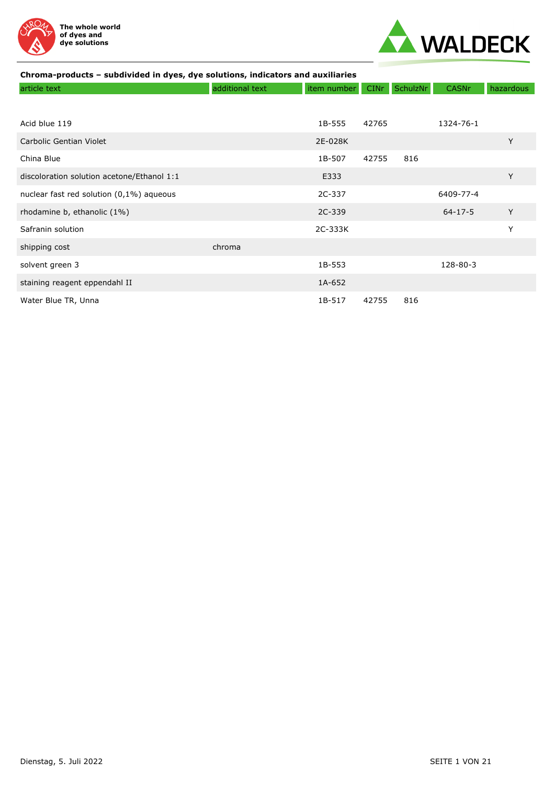



| article text                               | additional text | item number | <b>CINr</b> | SchulzNr | <b>CASNr</b>  | hazardous |
|--------------------------------------------|-----------------|-------------|-------------|----------|---------------|-----------|
|                                            |                 |             |             |          |               |           |
| Acid blue 119                              |                 | 1B-555      | 42765       |          | 1324-76-1     |           |
| Carbolic Gentian Violet                    |                 | 2E-028K     |             |          |               | Y         |
| China Blue                                 |                 | 1B-507      | 42755       | 816      |               |           |
| discoloration solution acetone/Ethanol 1:1 |                 | E333        |             |          |               | Y         |
| nuclear fast red solution (0,1%) aqueous   |                 | 2C-337      |             |          | 6409-77-4     |           |
| rhodamine b, ethanolic (1%)                |                 | 2C-339      |             |          | $64 - 17 - 5$ | Y         |
| Safranin solution                          |                 | 2C-333K     |             |          |               | Y         |
| shipping cost                              | chroma          |             |             |          |               |           |
| solvent green 3                            |                 | 1B-553      |             |          | 128-80-3      |           |
| staining reagent eppendahl II              |                 | 1A-652      |             |          |               |           |
| Water Blue TR, Unna                        |                 | 1B-517      | 42755       | 816      |               |           |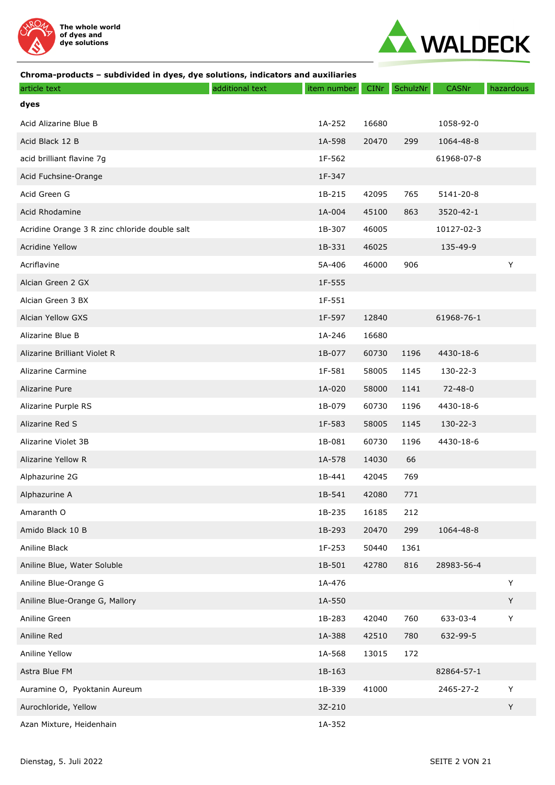



| article text                                  | additional text | item number | <b>CINr</b> | SchulzNr | <b>CASNr</b>  | hazardous   |
|-----------------------------------------------|-----------------|-------------|-------------|----------|---------------|-------------|
| dyes                                          |                 |             |             |          |               |             |
| Acid Alizarine Blue B                         |                 | 1A-252      | 16680       |          | 1058-92-0     |             |
| Acid Black 12 B                               |                 | 1A-598      | 20470       | 299      | 1064-48-8     |             |
| acid brilliant flavine 7g                     |                 | 1F-562      |             |          | 61968-07-8    |             |
| Acid Fuchsine-Orange                          |                 | 1F-347      |             |          |               |             |
| Acid Green G                                  |                 | 1B-215      | 42095       | 765      | 5141-20-8     |             |
| Acid Rhodamine                                |                 | 1A-004      | 45100       | 863      | 3520-42-1     |             |
| Acridine Orange 3 R zinc chloride double salt |                 | 1B-307      | 46005       |          | 10127-02-3    |             |
| <b>Acridine Yellow</b>                        |                 | 1B-331      | 46025       |          | 135-49-9      |             |
| Acriflavine                                   |                 | 5A-406      | 46000       | 906      |               | Y           |
| Alcian Green 2 GX                             |                 | 1F-555      |             |          |               |             |
| Alcian Green 3 BX                             |                 | 1F-551      |             |          |               |             |
| Alcian Yellow GXS                             |                 | 1F-597      | 12840       |          | 61968-76-1    |             |
| Alizarine Blue B                              |                 | 1A-246      | 16680       |          |               |             |
| Alizarine Brilliant Violet R                  |                 | 1B-077      | 60730       | 1196     | 4430-18-6     |             |
| Alizarine Carmine                             |                 | 1F-581      | 58005       | 1145     | 130-22-3      |             |
| Alizarine Pure                                |                 | 1A-020      | 58000       | 1141     | $72 - 48 - 0$ |             |
| Alizarine Purple RS                           |                 | 1B-079      | 60730       | 1196     | 4430-18-6     |             |
| Alizarine Red S                               |                 | 1F-583      | 58005       | 1145     | 130-22-3      |             |
| Alizarine Violet 3B                           |                 | 1B-081      | 60730       | 1196     | 4430-18-6     |             |
| Alizarine Yellow R                            |                 | 1A-578      | 14030       | 66       |               |             |
| Alphazurine 2G                                |                 | 1B-441      | 42045       | 769      |               |             |
| Alphazurine A                                 |                 | 1B-541      | 42080       | 771      |               |             |
| Amaranth O                                    |                 | 1B-235      | 16185       | 212      |               |             |
| Amido Black 10 B                              |                 | 1B-293      | 20470       | 299      | 1064-48-8     |             |
| Aniline Black                                 |                 | 1F-253      | 50440       | 1361     |               |             |
| Aniline Blue, Water Soluble                   |                 | 1B-501      | 42780       | 816      | 28983-56-4    |             |
| Aniline Blue-Orange G                         |                 | 1A-476      |             |          |               | $\sf Y$     |
| Aniline Blue-Orange G, Mallory                |                 | 1A-550      |             |          |               | Y           |
| Aniline Green                                 |                 | 1B-283      | 42040       | 760      | 633-03-4      | $\mathsf Y$ |
| Aniline Red                                   |                 | 1A-388      | 42510       | 780      | 632-99-5      |             |
| Aniline Yellow                                |                 | 1A-568      | 13015       | 172      |               |             |
| Astra Blue FM                                 |                 | 1B-163      |             |          | 82864-57-1    |             |
| Auramine O, Pyoktanin Aureum                  |                 | 1B-339      | 41000       |          | 2465-27-2     | Υ           |
| Aurochloride, Yellow                          |                 | 3Z-210      |             |          |               | Y           |
| Azan Mixture, Heidenhain                      |                 | 1A-352      |             |          |               |             |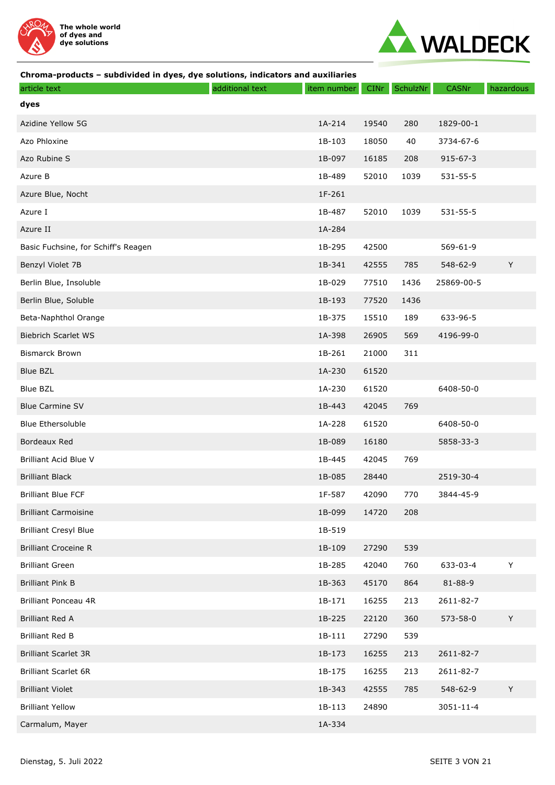



| article text                        | additional text | item number | <b>CINr</b> | SchulzNr | <b>CASNr</b>   | hazardous |
|-------------------------------------|-----------------|-------------|-------------|----------|----------------|-----------|
| dyes                                |                 |             |             |          |                |           |
| Azidine Yellow 5G                   |                 | 1A-214      | 19540       | 280      | 1829-00-1      |           |
| Azo Phloxine                        |                 | 1B-103      | 18050       | 40       | 3734-67-6      |           |
| Azo Rubine S                        |                 | 1B-097      | 16185       | 208      | $915 - 67 - 3$ |           |
| Azure B                             |                 | 1B-489      | 52010       | 1039     | 531-55-5       |           |
| Azure Blue, Nocht                   |                 | 1F-261      |             |          |                |           |
| Azure I                             |                 | 1B-487      | 52010       | 1039     | 531-55-5       |           |
| Azure II                            |                 | 1A-284      |             |          |                |           |
| Basic Fuchsine, for Schiff's Reagen |                 | 1B-295      | 42500       |          | 569-61-9       |           |
| Benzyl Violet 7B                    |                 | 1B-341      | 42555       | 785      | 548-62-9       | Y         |
| Berlin Blue, Insoluble              |                 | 1B-029      | 77510       | 1436     | 25869-00-5     |           |
| Berlin Blue, Soluble                |                 | 1B-193      | 77520       | 1436     |                |           |
| Beta-Naphthol Orange                |                 | 1B-375      | 15510       | 189      | 633-96-5       |           |
| <b>Biebrich Scarlet WS</b>          |                 | 1A-398      | 26905       | 569      | 4196-99-0      |           |
| <b>Bismarck Brown</b>               |                 | 1B-261      | 21000       | 311      |                |           |
| <b>Blue BZL</b>                     |                 | 1A-230      | 61520       |          |                |           |
| <b>Blue BZL</b>                     |                 | 1A-230      | 61520       |          | 6408-50-0      |           |
| <b>Blue Carmine SV</b>              |                 | 1B-443      | 42045       | 769      |                |           |
| <b>Blue Ethersoluble</b>            |                 | 1A-228      | 61520       |          | 6408-50-0      |           |
| Bordeaux Red                        |                 | 1B-089      | 16180       |          | 5858-33-3      |           |
| Brilliant Acid Blue V               |                 | 1B-445      | 42045       | 769      |                |           |
| <b>Brilliant Black</b>              |                 | 1B-085      | 28440       |          | 2519-30-4      |           |
| <b>Brilliant Blue FCF</b>           |                 | 1F-587      | 42090       | 770      | 3844-45-9      |           |
| <b>Brilliant Carmoisine</b>         |                 | 1B-099      | 14720       | 208      |                |           |
| <b>Brilliant Cresyl Blue</b>        |                 | 1B-519      |             |          |                |           |
| <b>Brilliant Croceine R</b>         |                 | 1B-109      | 27290       | 539      |                |           |
| <b>Brilliant Green</b>              |                 | 1B-285      | 42040       | 760      | 633-03-4       | Υ         |
| <b>Brilliant Pink B</b>             |                 | 1B-363      | 45170       | 864      | 81-88-9        |           |
| Brilliant Ponceau 4R                |                 | 1B-171      | 16255       | 213      | 2611-82-7      |           |
| <b>Brilliant Red A</b>              |                 | 1B-225      | 22120       | 360      | 573-58-0       | Y         |
| <b>Brilliant Red B</b>              |                 | 1B-111      | 27290       | 539      |                |           |
| <b>Brilliant Scarlet 3R</b>         |                 | 1B-173      | 16255       | 213      | 2611-82-7      |           |
| <b>Brilliant Scarlet 6R</b>         |                 | 1B-175      | 16255       | 213      | 2611-82-7      |           |
| <b>Brilliant Violet</b>             |                 | 1B-343      | 42555       | 785      | 548-62-9       | Y         |
| <b>Brilliant Yellow</b>             |                 | 1B-113      | 24890       |          | 3051-11-4      |           |
| Carmalum, Mayer                     |                 | 1A-334      |             |          |                |           |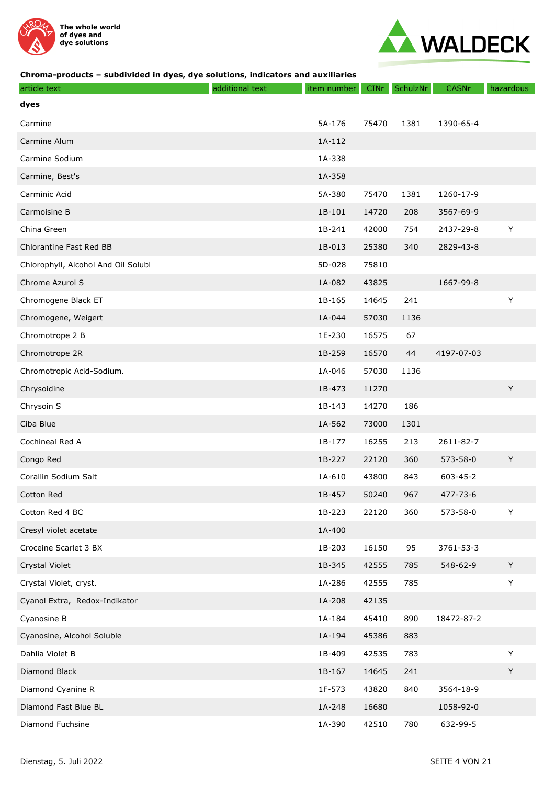



| article text                        | additional text | item number | <b>CINr</b> | SchulzNr | <b>CASNr</b>   | hazardous |
|-------------------------------------|-----------------|-------------|-------------|----------|----------------|-----------|
| dyes                                |                 |             |             |          |                |           |
| Carmine                             |                 | 5A-176      | 75470       | 1381     | 1390-65-4      |           |
| Carmine Alum                        |                 | 1A-112      |             |          |                |           |
| Carmine Sodium                      |                 | 1A-338      |             |          |                |           |
| Carmine, Best's                     |                 | 1A-358      |             |          |                |           |
| Carminic Acid                       |                 | 5A-380      | 75470       | 1381     | 1260-17-9      |           |
| Carmoisine B                        |                 | 1B-101      | 14720       | 208      | 3567-69-9      |           |
| China Green                         |                 | 1B-241      | 42000       | 754      | 2437-29-8      | Υ         |
| Chlorantine Fast Red BB             |                 | 1B-013      | 25380       | 340      | 2829-43-8      |           |
| Chlorophyll, Alcohol And Oil Solubl |                 | 5D-028      | 75810       |          |                |           |
| Chrome Azurol S                     |                 | 1A-082      | 43825       |          | 1667-99-8      |           |
| Chromogene Black ET                 |                 | 1B-165      | 14645       | 241      |                | Υ         |
| Chromogene, Weigert                 |                 | 1A-044      | 57030       | 1136     |                |           |
| Chromotrope 2 B                     |                 | 1E-230      | 16575       | 67       |                |           |
| Chromotrope 2R                      |                 | 1B-259      | 16570       | 44       | 4197-07-03     |           |
| Chromotropic Acid-Sodium.           |                 | 1A-046      | 57030       | 1136     |                |           |
| Chrysoidine                         |                 | 1B-473      | 11270       |          |                | Y         |
| Chrysoin S                          |                 | 1B-143      | 14270       | 186      |                |           |
| Ciba Blue                           |                 | 1A-562      | 73000       | 1301     |                |           |
| Cochineal Red A                     |                 | 1B-177      | 16255       | 213      | 2611-82-7      |           |
| Congo Red                           |                 | 1B-227      | 22120       | 360      | 573-58-0       | Y         |
| Corallin Sodium Salt                |                 | 1A-610      | 43800       | 843      | 603-45-2       |           |
| Cotton Red                          |                 | 1B-457      | 50240       | 967      | $477 - 73 - 6$ |           |
| Cotton Red 4 BC                     |                 | 1B-223      | 22120       | 360      | 573-58-0       | Y         |
| Cresyl violet acetate               |                 | 1A-400      |             |          |                |           |
| Croceine Scarlet 3 BX               |                 | 1B-203      | 16150       | 95       | 3761-53-3      |           |
| Crystal Violet                      |                 | 1B-345      | 42555       | 785      | 548-62-9       | Y         |
| Crystal Violet, cryst.              |                 | 1A-286      | 42555       | 785      |                | Y         |
| Cyanol Extra, Redox-Indikator       |                 | 1A-208      | 42135       |          |                |           |
| Cyanosine B                         |                 | 1A-184      | 45410       | 890      | 18472-87-2     |           |
| Cyanosine, Alcohol Soluble          |                 | 1A-194      | 45386       | 883      |                |           |
| Dahlia Violet B                     |                 | 1B-409      | 42535       | 783      |                | Y         |
| Diamond Black                       |                 | 1B-167      | 14645       | 241      |                | Y         |
| Diamond Cyanine R                   |                 | 1F-573      | 43820       | 840      | 3564-18-9      |           |
| Diamond Fast Blue BL                |                 | 1A-248      | 16680       |          | 1058-92-0      |           |
| Diamond Fuchsine                    |                 | 1A-390      | 42510       | 780      | 632-99-5       |           |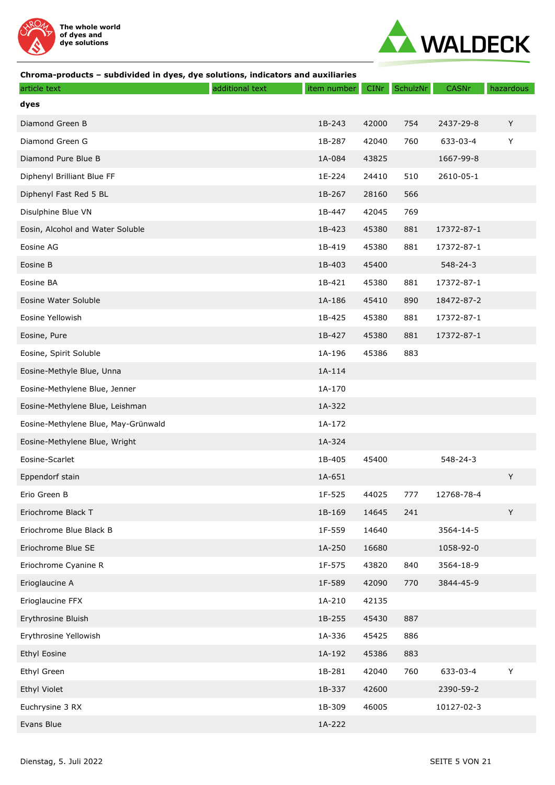



| article text                        | additional text | item number | <b>CINr</b> | SchulzNr | <b>CASNr</b>   | hazardous |
|-------------------------------------|-----------------|-------------|-------------|----------|----------------|-----------|
| dyes                                |                 |             |             |          |                |           |
| Diamond Green B                     |                 | 1B-243      | 42000       | 754      | 2437-29-8      | Y         |
| Diamond Green G                     |                 | 1B-287      | 42040       | 760      | 633-03-4       | Y         |
| Diamond Pure Blue B                 |                 | 1A-084      | 43825       |          | 1667-99-8      |           |
| Diphenyl Brilliant Blue FF          |                 | 1E-224      | 24410       | 510      | 2610-05-1      |           |
| Diphenyl Fast Red 5 BL              |                 | 1B-267      | 28160       | 566      |                |           |
| Disulphine Blue VN                  |                 | 1B-447      | 42045       | 769      |                |           |
| Eosin, Alcohol and Water Soluble    |                 | 1B-423      | 45380       | 881      | 17372-87-1     |           |
| Eosine AG                           |                 | 1B-419      | 45380       | 881      | 17372-87-1     |           |
| Eosine B                            |                 | 1B-403      | 45400       |          | $548 - 24 - 3$ |           |
| Eosine BA                           |                 | 1B-421      | 45380       | 881      | 17372-87-1     |           |
| Eosine Water Soluble                |                 | 1A-186      | 45410       | 890      | 18472-87-2     |           |
| Eosine Yellowish                    |                 | 1B-425      | 45380       | 881      | 17372-87-1     |           |
| Eosine, Pure                        |                 | 1B-427      | 45380       | 881      | 17372-87-1     |           |
| Eosine, Spirit Soluble              |                 | 1A-196      | 45386       | 883      |                |           |
| Eosine-Methyle Blue, Unna           |                 | 1A-114      |             |          |                |           |
| Eosine-Methylene Blue, Jenner       |                 | 1A-170      |             |          |                |           |
| Eosine-Methylene Blue, Leishman     |                 | 1A-322      |             |          |                |           |
| Eosine-Methylene Blue, May-Grünwald |                 | 1A-172      |             |          |                |           |
| Eosine-Methylene Blue, Wright       |                 | 1A-324      |             |          |                |           |
| Eosine-Scarlet                      |                 | 1B-405      | 45400       |          | 548-24-3       |           |
| Eppendorf stain                     |                 | 1A-651      |             |          |                | Y         |
| Erio Green B                        |                 | 1F-525      | 44025       | 777      | 12768-78-4     |           |
| Eriochrome Black T                  |                 | 1B-169      | 14645       | 241      |                | Y         |
| Eriochrome Blue Black B             |                 | 1F-559      | 14640       |          | 3564-14-5      |           |
| Eriochrome Blue SE                  |                 | 1A-250      | 16680       |          | 1058-92-0      |           |
| Eriochrome Cyanine R                |                 | 1F-575      | 43820       | 840      | 3564-18-9      |           |
| Erioglaucine A                      |                 | 1F-589      | 42090       | 770      | 3844-45-9      |           |
| Erioglaucine FFX                    |                 | 1A-210      | 42135       |          |                |           |
| Erythrosine Bluish                  |                 | 1B-255      | 45430       | 887      |                |           |
| Erythrosine Yellowish               |                 | 1A-336      | 45425       | 886      |                |           |
| Ethyl Eosine                        |                 | 1A-192      | 45386       | 883      |                |           |
| Ethyl Green                         |                 | 1B-281      | 42040       | 760      | 633-03-4       | Y         |
| Ethyl Violet                        |                 | 1B-337      | 42600       |          | 2390-59-2      |           |
| Euchrysine 3 RX                     |                 | 1B-309      | 46005       |          | 10127-02-3     |           |
| Evans Blue                          |                 | 1A-222      |             |          |                |           |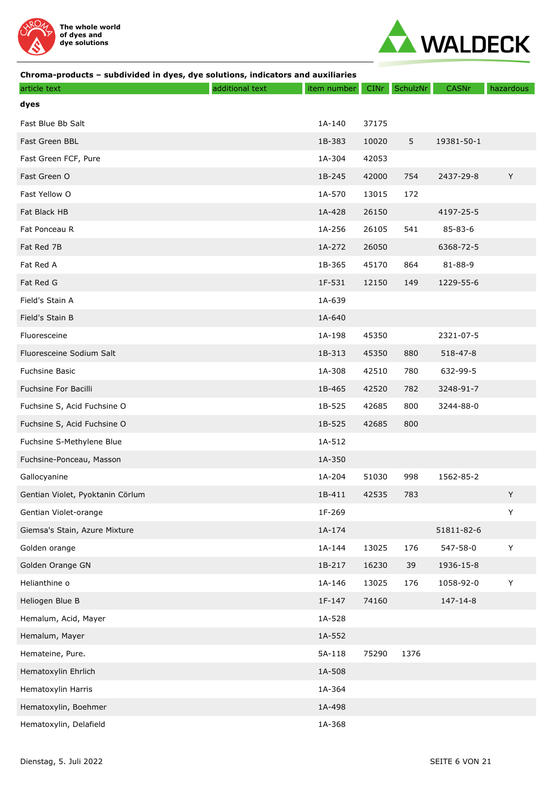



| article text                     | additional text | item number | <b>CINr</b> | SchulzNr | <b>CASNr</b> | hazardous   |
|----------------------------------|-----------------|-------------|-------------|----------|--------------|-------------|
| dyes                             |                 |             |             |          |              |             |
| Fast Blue Bb Salt                |                 | 1A-140      | 37175       |          |              |             |
| Fast Green BBL                   |                 | 1B-383      | 10020       | 5        | 19381-50-1   |             |
| Fast Green FCF, Pure             |                 | 1A-304      | 42053       |          |              |             |
| Fast Green O                     |                 | 1B-245      | 42000       | 754      | 2437-29-8    | Y           |
| Fast Yellow O                    |                 | 1A-570      | 13015       | 172      |              |             |
| Fat Black HB                     |                 | 1A-428      | 26150       |          | 4197-25-5    |             |
| Fat Ponceau R                    |                 | 1A-256      | 26105       | 541      | 85-83-6      |             |
| Fat Red 7B                       |                 | 1A-272      | 26050       |          | 6368-72-5    |             |
| Fat Red A                        |                 | 1B-365      | 45170       | 864      | 81-88-9      |             |
| Fat Red G                        |                 | 1F-531      | 12150       | 149      | 1229-55-6    |             |
| Field's Stain A                  |                 | 1A-639      |             |          |              |             |
| Field's Stain B                  |                 | 1A-640      |             |          |              |             |
| Fluoresceine                     |                 | 1A-198      | 45350       |          | 2321-07-5    |             |
| Fluoresceine Sodium Salt         |                 | 1B-313      | 45350       | 880      | 518-47-8     |             |
| Fuchsine Basic                   |                 | 1A-308      | 42510       | 780      | 632-99-5     |             |
| Fuchsine For Bacilli             |                 | 1B-465      | 42520       | 782      | 3248-91-7    |             |
| Fuchsine S, Acid Fuchsine O      |                 | 1B-525      | 42685       | 800      | 3244-88-0    |             |
| Fuchsine S, Acid Fuchsine O      |                 | 1B-525      | 42685       | 800      |              |             |
| Fuchsine S-Methylene Blue        |                 | 1A-512      |             |          |              |             |
| Fuchsine-Ponceau, Masson         |                 | 1A-350      |             |          |              |             |
| Gallocyanine                     |                 | 1A-204      | 51030       | 998      | 1562-85-2    |             |
| Gentian Violet, Pyoktanin Cörlum |                 | 1B-411      | 42535       | 783      |              | Y           |
| Gentian Violet-orange            |                 | 1F-269      |             |          |              | $\mathsf Y$ |
| Giemsa's Stain, Azure Mixture    |                 | 1A-174      |             |          | 51811-82-6   |             |
| Golden orange                    |                 | 1A-144      | 13025       | 176      | 547-58-0     | $\mathsf Y$ |
| Golden Orange GN                 |                 | 1B-217      | 16230       | 39       | 1936-15-8    |             |
| Helianthine o                    |                 | 1A-146      | 13025       | 176      | 1058-92-0    | $\sf Y$     |
| Heliogen Blue B                  |                 | 1F-147      | 74160       |          | 147-14-8     |             |
| Hemalum, Acid, Mayer             |                 | 1A-528      |             |          |              |             |
| Hemalum, Mayer                   |                 | 1A-552      |             |          |              |             |
| Hemateine, Pure.                 |                 | 5A-118      | 75290       | 1376     |              |             |
| Hematoxylin Ehrlich              |                 | 1A-508      |             |          |              |             |
| Hematoxylin Harris               |                 | 1A-364      |             |          |              |             |
| Hematoxylin, Boehmer             |                 | 1A-498      |             |          |              |             |
| Hematoxylin, Delafield           |                 | 1A-368      |             |          |              |             |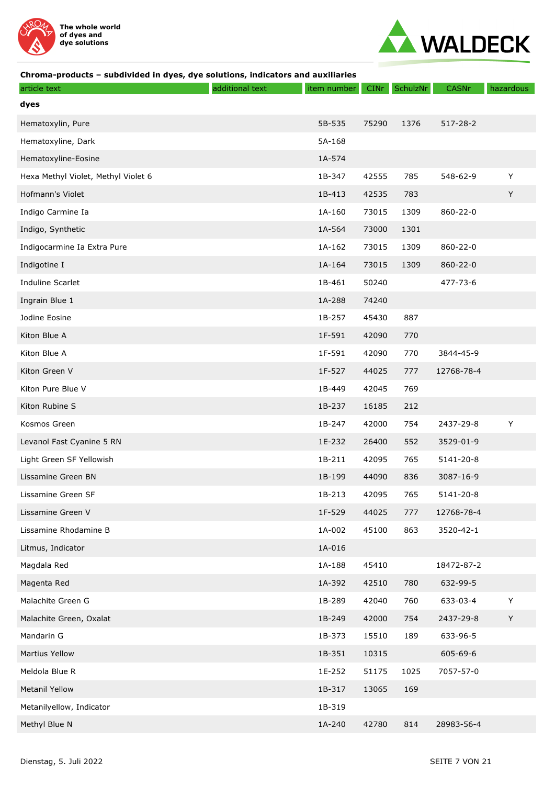



| article text                        | additional text | item number | CINr  | SchulzNr | CASNr          | hazardous |
|-------------------------------------|-----------------|-------------|-------|----------|----------------|-----------|
| dyes                                |                 |             |       |          |                |           |
| Hematoxylin, Pure                   |                 | 5B-535      | 75290 | 1376     | $517 - 28 - 2$ |           |
| Hematoxyline, Dark                  |                 | 5A-168      |       |          |                |           |
| Hematoxyline-Eosine                 |                 | 1A-574      |       |          |                |           |
| Hexa Methyl Violet, Methyl Violet 6 |                 | 1B-347      | 42555 | 785      | 548-62-9       | Y         |
| Hofmann's Violet                    |                 | 1B-413      | 42535 | 783      |                | Y         |
| Indigo Carmine Ia                   |                 | 1A-160      | 73015 | 1309     | 860-22-0       |           |
| Indigo, Synthetic                   |                 | 1A-564      | 73000 | 1301     |                |           |
| Indigocarmine Ia Extra Pure         |                 | 1A-162      | 73015 | 1309     | 860-22-0       |           |
| Indigotine I                        |                 | 1A-164      | 73015 | 1309     | $860 - 22 - 0$ |           |
| Induline Scarlet                    |                 | 1B-461      | 50240 |          | 477-73-6       |           |
| Ingrain Blue 1                      |                 | 1A-288      | 74240 |          |                |           |
| Jodine Eosine                       |                 | 1B-257      | 45430 | 887      |                |           |
| Kiton Blue A                        |                 | 1F-591      | 42090 | 770      |                |           |
| Kiton Blue A                        |                 | 1F-591      | 42090 | 770      | 3844-45-9      |           |
| Kiton Green V                       |                 | 1F-527      | 44025 | 777      | 12768-78-4     |           |
| Kiton Pure Blue V                   |                 | 1B-449      | 42045 | 769      |                |           |
| Kiton Rubine S                      |                 | 1B-237      | 16185 | 212      |                |           |
| Kosmos Green                        |                 | 1B-247      | 42000 | 754      | 2437-29-8      | Y         |
| Levanol Fast Cyanine 5 RN           |                 | 1E-232      | 26400 | 552      | 3529-01-9      |           |
| Light Green SF Yellowish            |                 | 1B-211      | 42095 | 765      | 5141-20-8      |           |
| Lissamine Green BN                  |                 | 1B-199      | 44090 | 836      | 3087-16-9      |           |
| Lissamine Green SF                  |                 | 1B-213      | 42095 | 765      | 5141-20-8      |           |
| Lissamine Green V                   |                 | 1F-529      | 44025 | 777      | 12768-78-4     |           |
| Lissamine Rhodamine B               |                 | 1A-002      | 45100 | 863      | 3520-42-1      |           |
| Litmus, Indicator                   |                 | 1A-016      |       |          |                |           |
| Magdala Red                         |                 | 1A-188      | 45410 |          | 18472-87-2     |           |
| Magenta Red                         |                 | 1A-392      | 42510 | 780      | 632-99-5       |           |
| Malachite Green G                   |                 | 1B-289      | 42040 | 760      | 633-03-4       | Y         |
| Malachite Green, Oxalat             |                 | 1B-249      | 42000 | 754      | 2437-29-8      | Y         |
| Mandarin G                          |                 | 1B-373      | 15510 | 189      | 633-96-5       |           |
| <b>Martius Yellow</b>               |                 | 1B-351      | 10315 |          | 605-69-6       |           |
| Meldola Blue R                      |                 | 1E-252      | 51175 | 1025     | 7057-57-0      |           |
| <b>Metanil Yellow</b>               |                 | 1B-317      | 13065 | 169      |                |           |
| Metanilyellow, Indicator            |                 | 1B-319      |       |          |                |           |
| Methyl Blue N                       |                 | 1A-240      | 42780 | 814      | 28983-56-4     |           |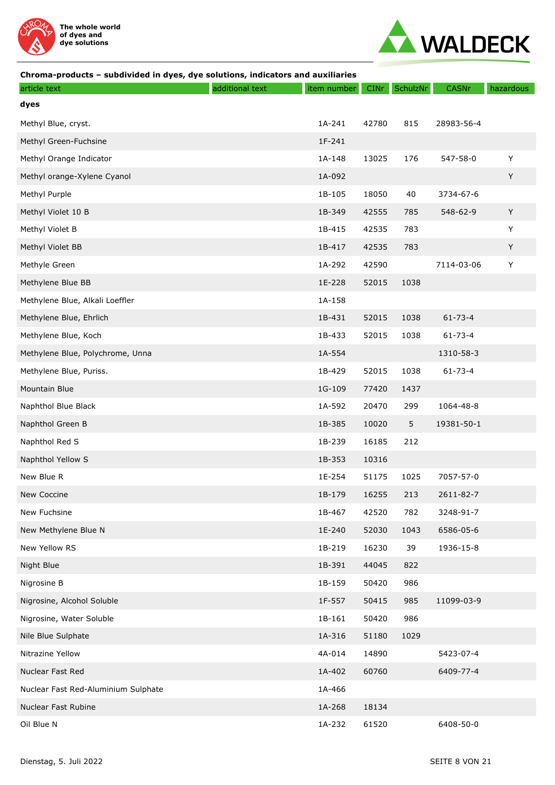



| article text                        | additional text | item number | <b>CINr</b> | SchulzNr | CASNr         | hazardous |
|-------------------------------------|-----------------|-------------|-------------|----------|---------------|-----------|
| dyes                                |                 |             |             |          |               |           |
| Methyl Blue, cryst.                 |                 | 1A-241      | 42780       | 815      | 28983-56-4    |           |
| Methyl Green-Fuchsine               |                 | 1F-241      |             |          |               |           |
| Methyl Orange Indicator             |                 | 1A-148      | 13025       | 176      | 547-58-0      | Υ         |
| Methyl orange-Xylene Cyanol         |                 | 1A-092      |             |          |               | Y         |
| Methyl Purple                       |                 | 1B-105      | 18050       | 40       | 3734-67-6     |           |
| Methyl Violet 10 B                  |                 | 1B-349      | 42555       | 785      | 548-62-9      | Y         |
| Methyl Violet B                     |                 | 1B-415      | 42535       | 783      |               | Y         |
| Methyl Violet BB                    |                 | 1B-417      | 42535       | 783      |               | Y         |
| Methyle Green                       |                 | 1A-292      | 42590       |          | 7114-03-06    | Y         |
| Methylene Blue BB                   |                 | 1E-228      | 52015       | 1038     |               |           |
| Methylene Blue, Alkali Loeffler     |                 | 1A-158      |             |          |               |           |
| Methylene Blue, Ehrlich             |                 | 1B-431      | 52015       | 1038     | $61 - 73 - 4$ |           |
| Methylene Blue, Koch                |                 | 1B-433      | 52015       | 1038     | $61 - 73 - 4$ |           |
| Methylene Blue, Polychrome, Unna    |                 | 1A-554      |             |          | 1310-58-3     |           |
| Methylene Blue, Puriss.             |                 | 1B-429      | 52015       | 1038     | $61 - 73 - 4$ |           |
| Mountain Blue                       |                 | 1G-109      | 77420       | 1437     |               |           |
| Naphthol Blue Black                 |                 | 1A-592      | 20470       | 299      | 1064-48-8     |           |
| Naphthol Green B                    |                 | 1B-385      | 10020       | 5        | 19381-50-1    |           |
| Naphthol Red S                      |                 | 1B-239      | 16185       | 212      |               |           |
| Naphthol Yellow S                   |                 | 1B-353      | 10316       |          |               |           |
| New Blue R                          |                 | 1E-254      | 51175       | 1025     | 7057-57-0     |           |
| <b>New Coccine</b>                  |                 | 1B-179      | 16255       | 213      | 2611-82-7     |           |
| New Fuchsine                        |                 | 1B-467      | 42520       | 782      | 3248-91-7     |           |
| New Methylene Blue N                |                 | 1E-240      | 52030       | 1043     | 6586-05-6     |           |
| New Yellow RS                       |                 | 1B-219      | 16230       | 39       | 1936-15-8     |           |
| Night Blue                          |                 | 1B-391      | 44045       | 822      |               |           |
| Nigrosine B                         |                 | 1B-159      | 50420       | 986      |               |           |
| Nigrosine, Alcohol Soluble          |                 | 1F-557      | 50415       | 985      | 11099-03-9    |           |
| Nigrosine, Water Soluble            |                 | 1B-161      | 50420       | 986      |               |           |
| Nile Blue Sulphate                  |                 | 1A-316      | 51180       | 1029     |               |           |
| Nitrazine Yellow                    |                 | 4A-014      | 14890       |          | 5423-07-4     |           |
| Nuclear Fast Red                    |                 | 1A-402      | 60760       |          | 6409-77-4     |           |
| Nuclear Fast Red-Aluminium Sulphate |                 | 1A-466      |             |          |               |           |
| Nuclear Fast Rubine                 |                 | 1A-268      | 18134       |          |               |           |
| Oil Blue N                          |                 | 1A-232      | 61520       |          | 6408-50-0     |           |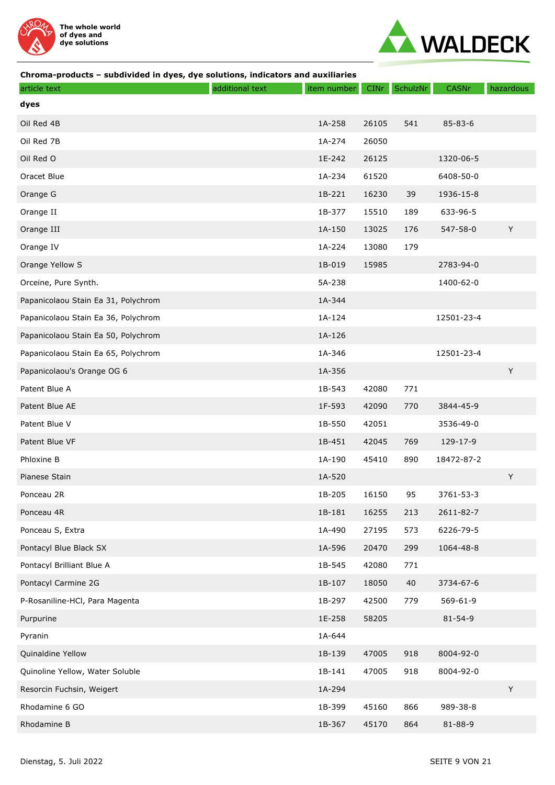



| article text                        | additional text | item number | CINr  | SchulzNr | CASNr         | hazardous   |
|-------------------------------------|-----------------|-------------|-------|----------|---------------|-------------|
| dyes                                |                 |             |       |          |               |             |
| Oil Red 4B                          |                 | 1A-258      | 26105 | 541      | $85 - 83 - 6$ |             |
| Oil Red 7B                          |                 | 1A-274      | 26050 |          |               |             |
| Oil Red O                           |                 | 1E-242      | 26125 |          | 1320-06-5     |             |
| Oracet Blue                         |                 | 1A-234      | 61520 |          | 6408-50-0     |             |
| Orange G                            |                 | 1B-221      | 16230 | 39       | 1936-15-8     |             |
| Orange II                           |                 | 1B-377      | 15510 | 189      | 633-96-5      |             |
| Orange III                          |                 | 1A-150      | 13025 | 176      | 547-58-0      | $\mathsf Y$ |
| Orange IV                           |                 | 1A-224      | 13080 | 179      |               |             |
| Orange Yellow S                     |                 | 1B-019      | 15985 |          | 2783-94-0     |             |
| Orceine, Pure Synth.                |                 | 5A-238      |       |          | 1400-62-0     |             |
| Papanicolaou Stain Ea 31, Polychrom |                 | 1A-344      |       |          |               |             |
| Papanicolaou Stain Ea 36, Polychrom |                 | 1A-124      |       |          | 12501-23-4    |             |
| Papanicolaou Stain Ea 50, Polychrom |                 | 1A-126      |       |          |               |             |
| Papanicolaou Stain Ea 65, Polychrom |                 | 1A-346      |       |          | 12501-23-4    |             |
| Papanicolaou's Orange OG 6          |                 | 1A-356      |       |          |               | Y           |
| Patent Blue A                       |                 | 1B-543      | 42080 | 771      |               |             |
| Patent Blue AE                      |                 | 1F-593      | 42090 | 770      | 3844-45-9     |             |
| Patent Blue V                       |                 | 1B-550      | 42051 |          | 3536-49-0     |             |
| Patent Blue VF                      |                 | 1B-451      | 42045 | 769      | 129-17-9      |             |
| Phloxine B                          |                 | 1A-190      | 45410 | 890      | 18472-87-2    |             |
| Pianese Stain                       |                 | 1A-520      |       |          |               | Y           |
| Ponceau 2R                          |                 | 1B-205      | 16150 | 95       | 3761-53-3     |             |
| Ponceau 4R                          |                 | 1B-181      | 16255 | 213      | 2611-82-7     |             |
| Ponceau S, Extra                    |                 | 1A-490      | 27195 | 573      | 6226-79-5     |             |
| Pontacyl Blue Black SX              |                 | 1A-596      | 20470 | 299      | 1064-48-8     |             |
| Pontacyl Brilliant Blue A           |                 | 1B-545      | 42080 | 771      |               |             |
| Pontacyl Carmine 2G                 |                 | 1B-107      | 18050 | 40       | 3734-67-6     |             |
| P-Rosaniline-HCl, Para Magenta      |                 | 1B-297      | 42500 | 779      | 569-61-9      |             |
| Purpurine                           |                 | 1E-258      | 58205 |          | $81 - 54 - 9$ |             |
| Pyranin                             |                 | 1A-644      |       |          |               |             |
| Quinaldine Yellow                   |                 | 1B-139      | 47005 | 918      | 8004-92-0     |             |
| Quinoline Yellow, Water Soluble     |                 | 1B-141      | 47005 | 918      | 8004-92-0     |             |
| Resorcin Fuchsin, Weigert           |                 | 1A-294      |       |          |               | Y           |
| Rhodamine 6 GO                      |                 | 1B-399      | 45160 | 866      | 989-38-8      |             |
| Rhodamine B                         |                 | 1B-367      | 45170 | 864      | 81-88-9       |             |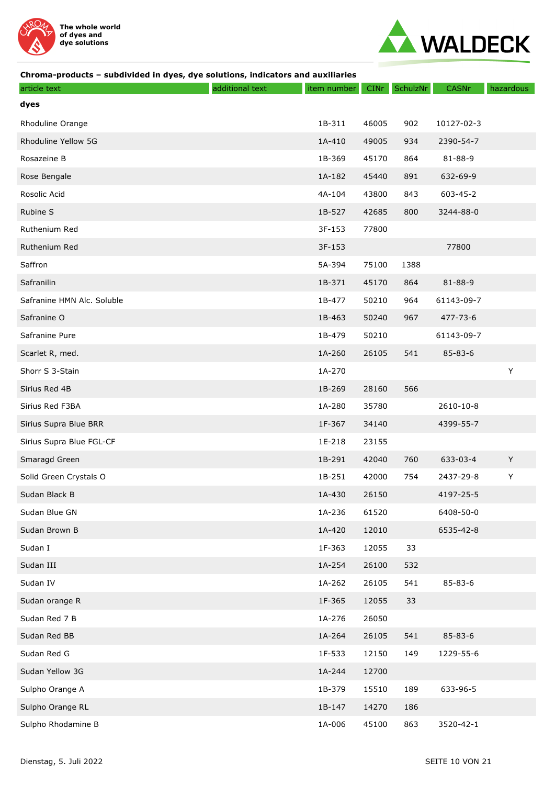



| article text               | additional text | item number | <b>CINr</b> | SchulzNr | CASNr          | hazardous |
|----------------------------|-----------------|-------------|-------------|----------|----------------|-----------|
| dyes                       |                 |             |             |          |                |           |
| Rhoduline Orange           |                 | 1B-311      | 46005       | 902      | 10127-02-3     |           |
| Rhoduline Yellow 5G        |                 | 1A-410      | 49005       | 934      | 2390-54-7      |           |
| Rosazeine B                |                 | 1B-369      | 45170       | 864      | 81-88-9        |           |
| Rose Bengale               |                 | 1A-182      | 45440       | 891      | 632-69-9       |           |
| Rosolic Acid               |                 | 4A-104      | 43800       | 843      | 603-45-2       |           |
| Rubine S                   |                 | 1B-527      | 42685       | 800      | 3244-88-0      |           |
| Ruthenium Red              |                 | 3F-153      | 77800       |          |                |           |
| Ruthenium Red              |                 | 3F-153      |             |          | 77800          |           |
| Saffron                    |                 | 5A-394      | 75100       | 1388     |                |           |
| Safranilin                 |                 | 1B-371      | 45170       | 864      | 81-88-9        |           |
| Safranine HMN Alc. Soluble |                 | 1B-477      | 50210       | 964      | 61143-09-7     |           |
| Safranine O                |                 | 1B-463      | 50240       | 967      | $477 - 73 - 6$ |           |
| Safranine Pure             |                 | 1B-479      | 50210       |          | 61143-09-7     |           |
| Scarlet R, med.            |                 | 1A-260      | 26105       | 541      | 85-83-6        |           |
| Shorr S 3-Stain            |                 | 1A-270      |             |          |                | Υ         |
| Sirius Red 4B              |                 | 1B-269      | 28160       | 566      |                |           |
| Sirius Red F3BA            |                 | 1A-280      | 35780       |          | 2610-10-8      |           |
| Sirius Supra Blue BRR      |                 | 1F-367      | 34140       |          | 4399-55-7      |           |
| Sirius Supra Blue FGL-CF   |                 | 1E-218      | 23155       |          |                |           |
| Smaragd Green              |                 | 1B-291      | 42040       | 760      | 633-03-4       | Y         |
| Solid Green Crystals O     |                 | 1B-251      | 42000       | 754      | 2437-29-8      | Υ         |
| Sudan Black B              |                 | 1A-430      | 26150       |          | 4197-25-5      |           |
| Sudan Blue GN              |                 | 1A-236      | 61520       |          | 6408-50-0      |           |
| Sudan Brown B              |                 | 1A-420      | 12010       |          | 6535-42-8      |           |
| Sudan I                    |                 | 1F-363      | 12055       | 33       |                |           |
| Sudan III                  |                 | 1A-254      | 26100       | 532      |                |           |
| Sudan IV                   |                 | 1A-262      | 26105       | 541      | 85-83-6        |           |
| Sudan orange R             |                 | 1F-365      | 12055       | 33       |                |           |
| Sudan Red 7 B              |                 | 1A-276      | 26050       |          |                |           |
| Sudan Red BB               |                 | 1A-264      | 26105       | 541      | 85-83-6        |           |
| Sudan Red G                |                 | 1F-533      | 12150       | 149      | 1229-55-6      |           |
| Sudan Yellow 3G            |                 | 1A-244      | 12700       |          |                |           |
| Sulpho Orange A            |                 | 1B-379      | 15510       | 189      | 633-96-5       |           |
| Sulpho Orange RL           |                 | 1B-147      | 14270       | 186      |                |           |
| Sulpho Rhodamine B         |                 | 1A-006      | 45100       | 863      | 3520-42-1      |           |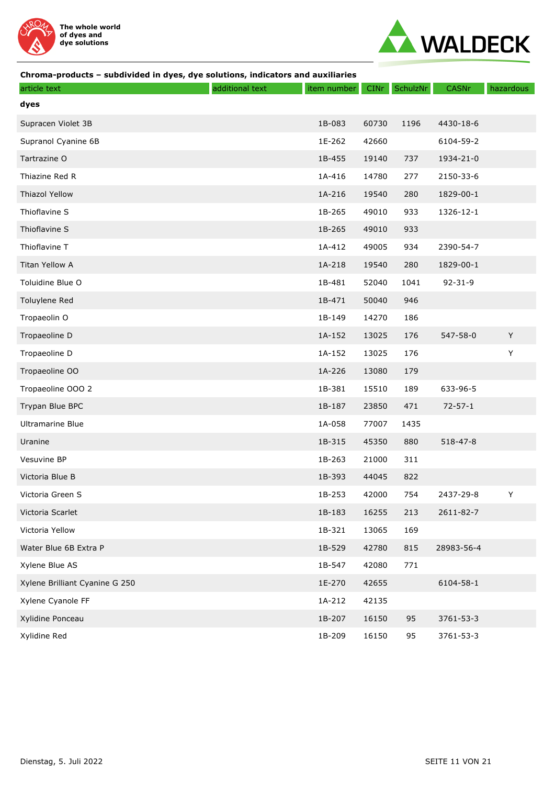



| article text                   | additional text | item number | <b>CINr</b> | SchulzNr | <b>CASNr</b>  | hazardous |
|--------------------------------|-----------------|-------------|-------------|----------|---------------|-----------|
| dyes                           |                 |             |             |          |               |           |
| Supracen Violet 3B             |                 | 1B-083      | 60730       | 1196     | 4430-18-6     |           |
| Supranol Cyanine 6B            |                 | 1E-262      | 42660       |          | 6104-59-2     |           |
| Tartrazine O                   |                 | 1B-455      | 19140       | 737      | 1934-21-0     |           |
| Thiazine Red R                 |                 | 1A-416      | 14780       | 277      | 2150-33-6     |           |
| <b>Thiazol Yellow</b>          |                 | 1A-216      | 19540       | 280      | 1829-00-1     |           |
| Thioflavine S                  |                 | 1B-265      | 49010       | 933      | 1326-12-1     |           |
| Thioflavine S                  |                 | 1B-265      | 49010       | 933      |               |           |
| Thioflavine T                  |                 | 1A-412      | 49005       | 934      | 2390-54-7     |           |
| Titan Yellow A                 |                 | 1A-218      | 19540       | 280      | 1829-00-1     |           |
| Toluidine Blue O               |                 | 1B-481      | 52040       | 1041     | $92 - 31 - 9$ |           |
| Toluylene Red                  |                 | 1B-471      | 50040       | 946      |               |           |
| Tropaeolin O                   |                 | 1B-149      | 14270       | 186      |               |           |
| Tropaeoline D                  |                 | 1A-152      | 13025       | 176      | 547-58-0      | Y         |
| Tropaeoline D                  |                 | 1A-152      | 13025       | 176      |               | Υ         |
| Tropaeoline OO                 |                 | 1A-226      | 13080       | 179      |               |           |
| Tropaeoline OOO 2              |                 | 1B-381      | 15510       | 189      | 633-96-5      |           |
| Trypan Blue BPC                |                 | 1B-187      | 23850       | 471      | $72 - 57 - 1$ |           |
| <b>Ultramarine Blue</b>        |                 | 1A-058      | 77007       | 1435     |               |           |
| Uranine                        |                 | 1B-315      | 45350       | 880      | 518-47-8      |           |
| Vesuvine BP                    |                 | 1B-263      | 21000       | 311      |               |           |
| Victoria Blue B                |                 | 1B-393      | 44045       | 822      |               |           |
| Victoria Green S               |                 | 1B-253      | 42000       | 754      | 2437-29-8     | Υ         |
| Victoria Scarlet               |                 | 1B-183      | 16255       | 213      | 2611-82-7     |           |
| Victoria Yellow                |                 | 1B-321      | 13065       | 169      |               |           |
| Water Blue 6B Extra P          |                 | 1B-529      | 42780       | 815      | 28983-56-4    |           |
| Xylene Blue AS                 |                 | 1B-547      | 42080       | 771      |               |           |
| Xylene Brilliant Cyanine G 250 |                 | 1E-270      | 42655       |          | 6104-58-1     |           |
| Xylene Cyanole FF              |                 | 1A-212      | 42135       |          |               |           |
| Xylidine Ponceau               |                 | 1B-207      | 16150       | 95       | 3761-53-3     |           |
| Xylidine Red                   |                 | 1B-209      | 16150       | 95       | 3761-53-3     |           |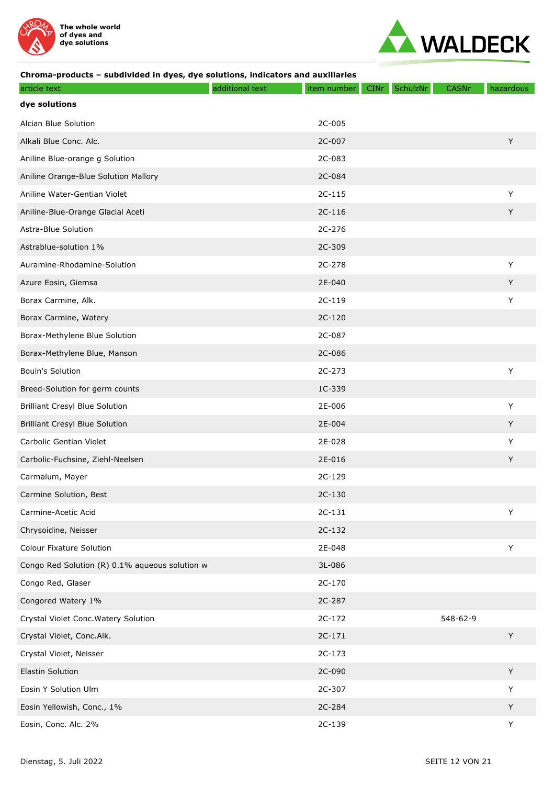



| article text                                   | additional text | item number | SchulzNr<br><b>CINr</b> | <b>CASNr</b> | hazardous |
|------------------------------------------------|-----------------|-------------|-------------------------|--------------|-----------|
| dye solutions                                  |                 |             |                         |              |           |
| Alcian Blue Solution                           |                 | 2C-005      |                         |              |           |
| Alkali Blue Conc. Alc.                         |                 | 2C-007      |                         |              | Y         |
| Aniline Blue-orange g Solution                 |                 | 2C-083      |                         |              |           |
| Aniline Orange-Blue Solution Mallory           |                 | 2C-084      |                         |              |           |
| Aniline Water-Gentian Violet                   |                 | $2C-115$    |                         |              | Y         |
| Aniline-Blue-Orange Glacial Aceti              |                 | 2C-116      |                         |              | Y         |
| Astra-Blue Solution                            |                 | 2C-276      |                         |              |           |
| Astrablue-solution 1%                          |                 | 2C-309      |                         |              |           |
| Auramine-Rhodamine-Solution                    |                 | 2C-278      |                         |              | Y         |
| Azure Eosin, Giemsa                            |                 | 2E-040      |                         |              | Y         |
| Borax Carmine, Alk.                            |                 | 2C-119      |                         |              | Y         |
| Borax Carmine, Watery                          |                 | 2C-120      |                         |              |           |
| Borax-Methylene Blue Solution                  |                 | 2C-087      |                         |              |           |
| Borax-Methylene Blue, Manson                   |                 | 2C-086      |                         |              |           |
| <b>Bouin's Solution</b>                        |                 | 2C-273      |                         |              | Υ         |
| Breed-Solution for germ counts                 |                 | 1C-339      |                         |              |           |
| <b>Brilliant Cresyl Blue Solution</b>          |                 | 2E-006      |                         |              | Y         |
| <b>Brilliant Cresyl Blue Solution</b>          |                 | 2E-004      |                         |              | Y         |
| Carbolic Gentian Violet                        |                 | 2E-028      |                         |              | Y         |
| Carbolic-Fuchsine, Ziehl-Neelsen               |                 | 2E-016      |                         |              | Y         |
| Carmalum, Mayer                                |                 | 2C-129      |                         |              |           |
| Carmine Solution, Best                         |                 | 2C-130      |                         |              |           |
| Carmine-Acetic Acid                            |                 | $2C-131$    |                         |              | Y         |
| Chrysoidine, Neisser                           |                 | 2C-132      |                         |              |           |
| <b>Colour Fixature Solution</b>                |                 | 2E-048      |                         |              | Υ         |
| Congo Red Solution (R) 0.1% aqueous solution w |                 | 3L-086      |                         |              |           |
| Congo Red, Glaser                              |                 | 2C-170      |                         |              |           |
| Congored Watery 1%                             |                 | 2C-287      |                         |              |           |
| Crystal Violet Conc. Watery Solution           |                 | 2C-172      |                         | 548-62-9     |           |
| Crystal Violet, Conc.Alk.                      |                 | $2C-171$    |                         |              | Y         |
| Crystal Violet, Neisser                        |                 | 2C-173      |                         |              |           |
| Elastin Solution                               |                 | 2C-090      |                         |              | Y         |
| Eosin Y Solution Ulm                           |                 | 2C-307      |                         |              | Y         |
| Eosin Yellowish, Conc., 1%                     |                 | 2C-284      |                         |              | Y         |
| Eosin, Conc. Alc. 2%                           |                 | 2C-139      |                         |              | Υ         |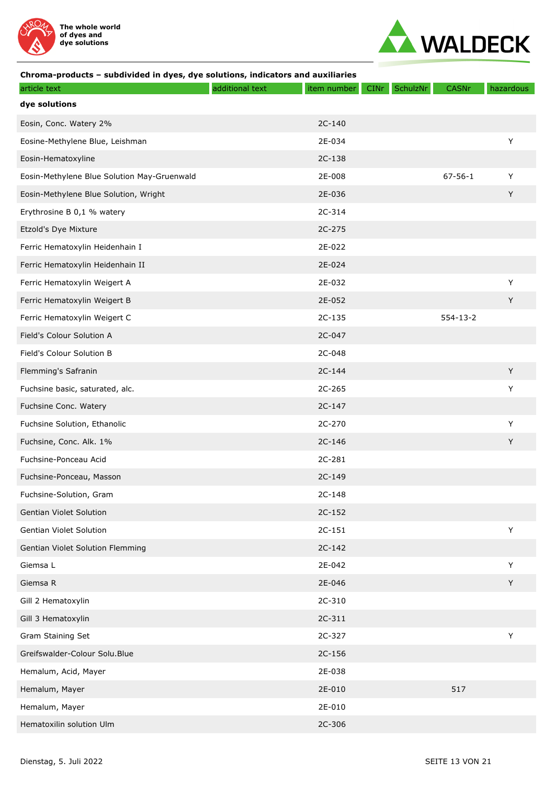



| article text                                | additional text | item number | CINT | SchulzNr | CASNr          | hazardous |
|---------------------------------------------|-----------------|-------------|------|----------|----------------|-----------|
| dye solutions                               |                 |             |      |          |                |           |
| Eosin, Conc. Watery 2%                      |                 | 2C-140      |      |          |                |           |
| Eosine-Methylene Blue, Leishman             |                 | 2E-034      |      |          |                | Y         |
| Eosin-Hematoxyline                          |                 | 2C-138      |      |          |                |           |
| Eosin-Methylene Blue Solution May-Gruenwald |                 | 2E-008      |      |          | $67 - 56 - 1$  | Y         |
| Eosin-Methylene Blue Solution, Wright       |                 | 2E-036      |      |          |                | Y         |
| Erythrosine B 0,1 % watery                  |                 | 2C-314      |      |          |                |           |
| Etzold's Dye Mixture                        |                 | 2C-275      |      |          |                |           |
| Ferric Hematoxylin Heidenhain I             |                 | 2E-022      |      |          |                |           |
| Ferric Hematoxylin Heidenhain II            |                 | 2E-024      |      |          |                |           |
| Ferric Hematoxylin Weigert A                |                 | 2E-032      |      |          |                | Y         |
| Ferric Hematoxylin Weigert B                |                 | 2E-052      |      |          |                | Y         |
| Ferric Hematoxylin Weigert C                |                 | $2C-135$    |      |          | $554 - 13 - 2$ |           |
| Field's Colour Solution A                   |                 | 2C-047      |      |          |                |           |
| Field's Colour Solution B                   |                 | 2C-048      |      |          |                |           |
| Flemming's Safranin                         |                 | 2C-144      |      |          |                | Y         |
| Fuchsine basic, saturated, alc.             |                 | 2C-265      |      |          |                | Y         |
| Fuchsine Conc. Watery                       |                 | $2C-147$    |      |          |                |           |
| Fuchsine Solution, Ethanolic                |                 | 2C-270      |      |          |                | Υ         |
| Fuchsine, Conc. Alk. 1%                     |                 | $2C-146$    |      |          |                | Y         |
| Fuchsine-Ponceau Acid                       |                 | 2C-281      |      |          |                |           |
| Fuchsine-Ponceau, Masson                    |                 | 2C-149      |      |          |                |           |
| Fuchsine-Solution, Gram                     |                 | 2C-148      |      |          |                |           |
| Gentian Violet Solution                     |                 | $2C-152$    |      |          |                |           |
| Gentian Violet Solution                     |                 | $2C-151$    |      |          |                | Y         |
| Gentian Violet Solution Flemming            |                 | $2C-142$    |      |          |                |           |
| Giemsa L                                    |                 | 2E-042      |      |          |                | Y         |
| Giemsa R                                    |                 | 2E-046      |      |          |                | Y         |
| Gill 2 Hematoxylin                          |                 | 2C-310      |      |          |                |           |
| Gill 3 Hematoxylin                          |                 | 2C-311      |      |          |                |           |
| Gram Staining Set                           |                 | 2C-327      |      |          |                | Y         |
| Greifswalder-Colour Solu.Blue               |                 | 2C-156      |      |          |                |           |
| Hemalum, Acid, Mayer                        |                 | 2E-038      |      |          |                |           |
| Hemalum, Mayer                              |                 | 2E-010      |      |          | 517            |           |
| Hemalum, Mayer                              |                 | 2E-010      |      |          |                |           |
| Hematoxilin solution Ulm                    |                 | 2C-306      |      |          |                |           |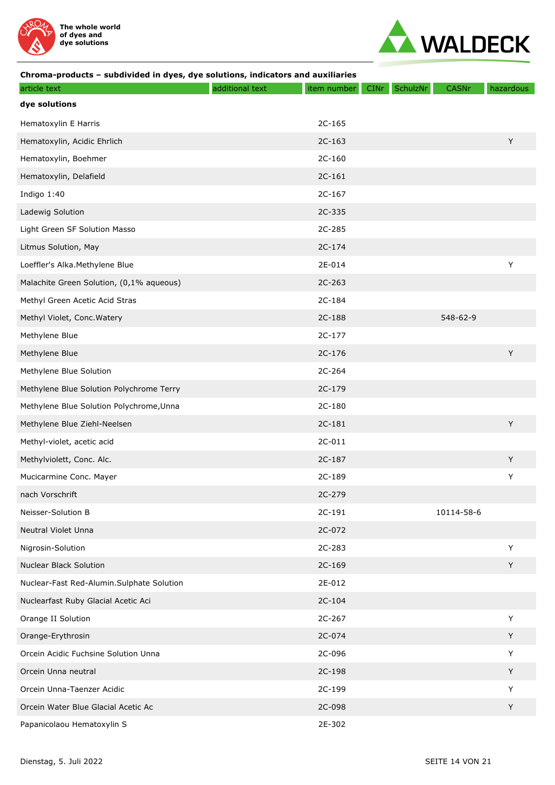



| article text                              | additional text | item number | <b>CINr</b> | SchulzNr | <b>CASNr</b> | hazardous |
|-------------------------------------------|-----------------|-------------|-------------|----------|--------------|-----------|
| dye solutions                             |                 |             |             |          |              |           |
| Hematoxylin E Harris                      |                 | 2C-165      |             |          |              |           |
| Hematoxylin, Acidic Ehrlich               |                 | $2C-163$    |             |          |              | Y         |
| Hematoxylin, Boehmer                      |                 | $2C-160$    |             |          |              |           |
| Hematoxylin, Delafield                    |                 | $2C-161$    |             |          |              |           |
| Indigo 1:40                               |                 | $2C-167$    |             |          |              |           |
| Ladewig Solution                          |                 | 2C-335      |             |          |              |           |
| Light Green SF Solution Masso             |                 | 2C-285      |             |          |              |           |
| Litmus Solution, May                      |                 | 2C-174      |             |          |              |           |
| Loeffler's Alka.Methylene Blue            |                 | 2E-014      |             |          |              | Y         |
| Malachite Green Solution, (0,1% aqueous)  |                 | 2C-263      |             |          |              |           |
| Methyl Green Acetic Acid Stras            |                 | 2C-184      |             |          |              |           |
| Methyl Violet, Conc. Watery               |                 | 2C-188      |             |          | 548-62-9     |           |
| Methylene Blue                            |                 | $2C-177$    |             |          |              |           |
| Methylene Blue                            |                 | $2C-176$    |             |          |              | Y         |
| Methylene Blue Solution                   |                 | 2C-264      |             |          |              |           |
| Methylene Blue Solution Polychrome Terry  |                 | 2C-179      |             |          |              |           |
| Methylene Blue Solution Polychrome, Unna  |                 | 2C-180      |             |          |              |           |
| Methylene Blue Ziehl-Neelsen              |                 | 2C-181      |             |          |              | Y         |
| Methyl-violet, acetic acid                |                 | 2C-011      |             |          |              |           |
| Methylviolett, Conc. Alc.                 |                 | $2C-187$    |             |          |              | Y         |
| Mucicarmine Conc. Mayer                   |                 | 2C-189      |             |          |              | Y         |
| nach Vorschrift                           |                 | 2C-279      |             |          |              |           |
| Neisser-Solution B                        |                 | 2C-191      |             |          | 10114-58-6   |           |
| Neutral Violet Unna                       |                 | 2C-072      |             |          |              |           |
| Nigrosin-Solution                         |                 | 2C-283      |             |          |              | Y         |
| Nuclear Black Solution                    |                 | 2C-169      |             |          |              | Y         |
| Nuclear-Fast Red-Alumin.Sulphate Solution |                 | 2E-012      |             |          |              |           |
| Nuclearfast Ruby Glacial Acetic Aci       |                 | $2C-104$    |             |          |              |           |
| Orange II Solution                        |                 | 2C-267      |             |          |              | Y         |
| Orange-Erythrosin                         |                 | 2C-074      |             |          |              | Y         |
| Orcein Acidic Fuchsine Solution Unna      |                 | 2C-096      |             |          |              | Y         |
| Orcein Unna neutral                       |                 | 2C-198      |             |          |              | Y         |
| Orcein Unna-Taenzer Acidic                |                 | 2C-199      |             |          |              | Y         |
| Orcein Water Blue Glacial Acetic Ac       |                 | 2C-098      |             |          |              | Y         |
| Papanicolaou Hematoxylin S                |                 | 2E-302      |             |          |              |           |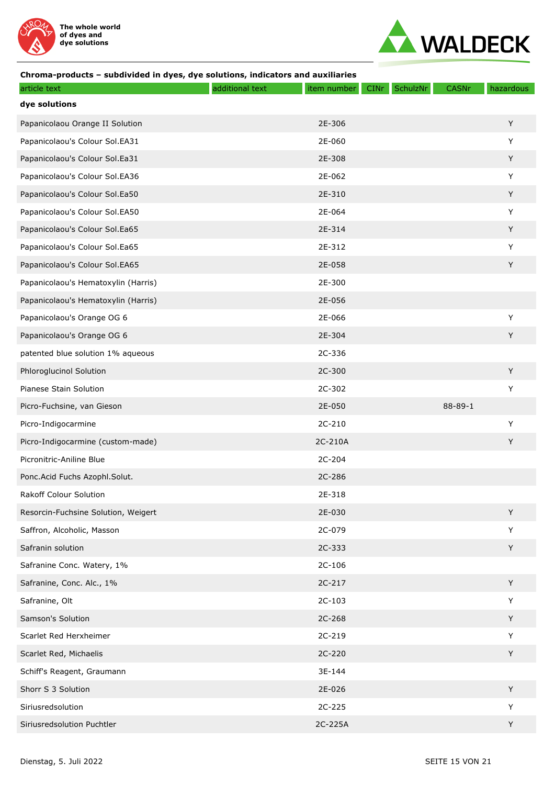



| article text                        | additional text | item number | <b>CINr</b> | SchulzNr | CASNr         | hazardous |
|-------------------------------------|-----------------|-------------|-------------|----------|---------------|-----------|
| dye solutions                       |                 |             |             |          |               |           |
| Papanicolaou Orange II Solution     |                 | 2E-306      |             |          |               | Y         |
| Papanicolaou's Colour Sol.EA31      |                 | 2E-060      |             |          |               | Y         |
| Papanicolaou's Colour Sol.Ea31      |                 | 2E-308      |             |          |               | Y         |
| Papanicolaou's Colour Sol.EA36      |                 | 2E-062      |             |          |               | Υ         |
| Papanicolaou's Colour Sol.Ea50      |                 | 2E-310      |             |          |               | Y         |
| Papanicolaou's Colour Sol.EA50      |                 | 2E-064      |             |          |               | Y         |
| Papanicolaou's Colour Sol.Ea65      |                 | 2E-314      |             |          |               | Y         |
| Papanicolaou's Colour Sol.Ea65      |                 | 2E-312      |             |          |               | Y         |
| Papanicolaou's Colour Sol.EA65      |                 | 2E-058      |             |          |               | Y         |
| Papanicolaou's Hematoxylin (Harris) |                 | 2E-300      |             |          |               |           |
| Papanicolaou's Hematoxylin (Harris) |                 | 2E-056      |             |          |               |           |
| Papanicolaou's Orange OG 6          |                 | 2E-066      |             |          |               | Υ         |
| Papanicolaou's Orange OG 6          |                 | 2E-304      |             |          |               | Y         |
| patented blue solution 1% aqueous   |                 | 2C-336      |             |          |               |           |
| Phloroglucinol Solution             |                 | 2C-300      |             |          |               | Y         |
| Pianese Stain Solution              |                 | 2C-302      |             |          |               | Υ         |
| Picro-Fuchsine, van Gieson          |                 | 2E-050      |             |          | $88 - 89 - 1$ |           |
| Picro-Indigocarmine                 |                 | 2C-210      |             |          |               | Y         |
| Picro-Indigocarmine (custom-made)   |                 | 2C-210A     |             |          |               | Y         |
| Picronitric-Aniline Blue            |                 | 2C-204      |             |          |               |           |
| Ponc.Acid Fuchs Azophl.Solut.       |                 | 2C-286      |             |          |               |           |
| <b>Rakoff Colour Solution</b>       |                 | 2E-318      |             |          |               |           |
| Resorcin-Fuchsine Solution, Weigert |                 | 2E-030      |             |          |               | Y         |
| Saffron, Alcoholic, Masson          |                 | 2C-079      |             |          |               | Y         |
| Safranin solution                   |                 | 2C-333      |             |          |               | Y         |
| Safranine Conc. Watery, 1%          |                 | $2C-106$    |             |          |               |           |
| Safranine, Conc. Alc., 1%           |                 | 2C-217      |             |          |               | Y         |
| Safranine, Olt                      |                 | 2C-103      |             |          |               | Y         |
| Samson's Solution                   |                 | 2C-268      |             |          |               | Y         |
| Scarlet Red Herxheimer              |                 | 2C-219      |             |          |               | Y         |
| Scarlet Red, Michaelis              |                 | 2C-220      |             |          |               | Y         |
| Schiff's Reagent, Graumann          |                 | 3E-144      |             |          |               |           |
| Shorr S 3 Solution                  |                 | 2E-026      |             |          |               | Y         |
| Siriusredsolution                   |                 | 2C-225      |             |          |               | Y         |
| Siriusredsolution Puchtler          |                 | 2C-225A     |             |          |               | Υ         |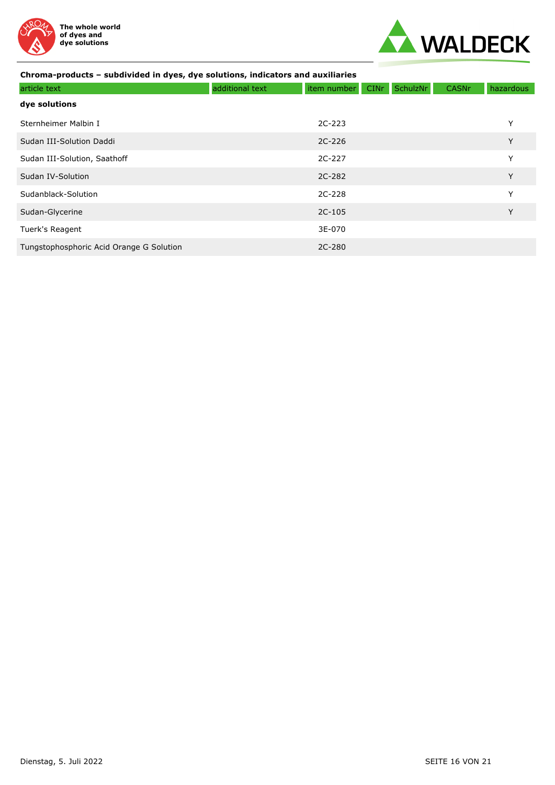



| article text                             | additional text | item number | <b>CINr</b> | SchulzNr | <b>CASNr</b> | hazardous |
|------------------------------------------|-----------------|-------------|-------------|----------|--------------|-----------|
| dye solutions                            |                 |             |             |          |              |           |
| Sternheimer Malbin I                     |                 | $2C-223$    |             |          |              | Υ         |
| Sudan III-Solution Daddi                 |                 | $2C-226$    |             |          |              | Y         |
| Sudan III-Solution, Saathoff             |                 | 2C-227      |             |          |              | Y         |
| Sudan IV-Solution                        |                 | 2C-282      |             |          |              | Y         |
| Sudanblack-Solution                      |                 | 2C-228      |             |          |              | Y         |
| Sudan-Glycerine                          |                 | $2C-105$    |             |          |              | Y         |
| Tuerk's Reagent                          |                 | 3E-070      |             |          |              |           |
| Tungstophosphoric Acid Orange G Solution |                 | 2C-280      |             |          |              |           |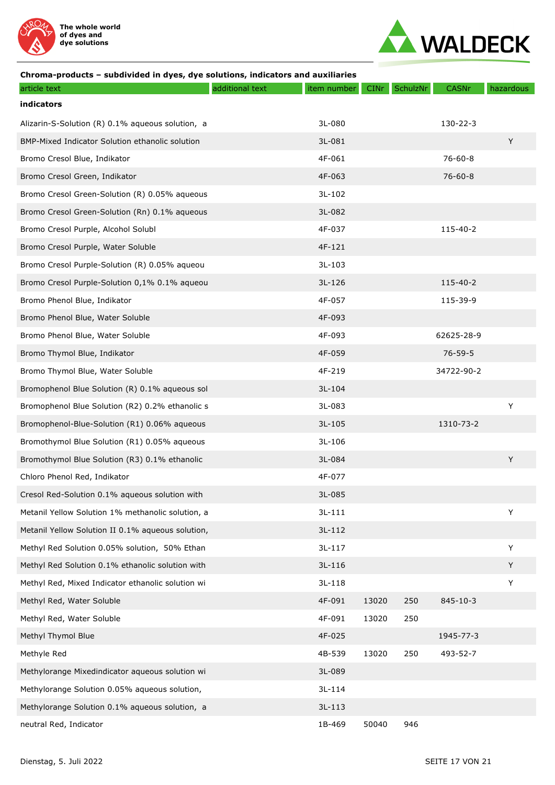



| article text                                      | additional text | item number | <b>CINr</b> | SchulzNr | <b>CASNr</b>   | hazardous |
|---------------------------------------------------|-----------------|-------------|-------------|----------|----------------|-----------|
| indicators                                        |                 |             |             |          |                |           |
| Alizarin-S-Solution (R) 0.1% aqueous solution, a  |                 | 3L-080      |             |          | $130 - 22 - 3$ |           |
| BMP-Mixed Indicator Solution ethanolic solution   |                 | 3L-081      |             |          |                | Y         |
| Bromo Cresol Blue, Indikator                      |                 | 4F-061      |             |          | $76 - 60 - 8$  |           |
| Bromo Cresol Green, Indikator                     |                 | 4F-063      |             |          | $76 - 60 - 8$  |           |
| Bromo Cresol Green-Solution (R) 0.05% aqueous     |                 | 3L-102      |             |          |                |           |
| Bromo Cresol Green-Solution (Rn) 0.1% aqueous     |                 | 3L-082      |             |          |                |           |
| Bromo Cresol Purple, Alcohol Solubl               |                 | 4F-037      |             |          | 115-40-2       |           |
| Bromo Cresol Purple, Water Soluble                |                 | 4F-121      |             |          |                |           |
| Bromo Cresol Purple-Solution (R) 0.05% aqueou     |                 | $3L-103$    |             |          |                |           |
| Bromo Cresol Purple-Solution 0,1% 0.1% aqueou     |                 | $3L-126$    |             |          | 115-40-2       |           |
| Bromo Phenol Blue, Indikator                      |                 | 4F-057      |             |          | 115-39-9       |           |
| Bromo Phenol Blue, Water Soluble                  |                 | 4F-093      |             |          |                |           |
| Bromo Phenol Blue, Water Soluble                  |                 | 4F-093      |             |          | 62625-28-9     |           |
| Bromo Thymol Blue, Indikator                      |                 | 4F-059      |             |          | $76 - 59 - 5$  |           |
| Bromo Thymol Blue, Water Soluble                  |                 | 4F-219      |             |          | 34722-90-2     |           |
| Bromophenol Blue Solution (R) 0.1% aqueous sol    |                 | $3L-104$    |             |          |                |           |
| Bromophenol Blue Solution (R2) 0.2% ethanolic s   |                 | 3L-083      |             |          |                | Y         |
| Bromophenol-Blue-Solution (R1) 0.06% aqueous      |                 | $3L-105$    |             |          | 1310-73-2      |           |
| Bromothymol Blue Solution (R1) 0.05% aqueous      |                 | 3L-106      |             |          |                |           |
| Bromothymol Blue Solution (R3) 0.1% ethanolic     |                 | 3L-084      |             |          |                | Y         |
| Chloro Phenol Red, Indikator                      |                 | 4F-077      |             |          |                |           |
| Cresol Red-Solution 0.1% aqueous solution with    |                 | 3L-085      |             |          |                |           |
| Metanil Yellow Solution 1% methanolic solution, a |                 | $3L-111$    |             |          |                | Y         |
| Metanil Yellow Solution II 0.1% aqueous solution, |                 | $3L-112$    |             |          |                |           |
| Methyl Red Solution 0.05% solution, 50% Ethan     |                 | $3L-117$    |             |          |                | Y         |
| Methyl Red Solution 0.1% ethanolic solution with  |                 | 3L-116      |             |          |                | Y         |
| Methyl Red, Mixed Indicator ethanolic solution wi |                 | $3L-118$    |             |          |                | Y         |
| Methyl Red, Water Soluble                         |                 | 4F-091      | 13020       | 250      | $845 - 10 - 3$ |           |
| Methyl Red, Water Soluble                         |                 | 4F-091      | 13020       | 250      |                |           |
| Methyl Thymol Blue                                |                 | 4F-025      |             |          | 1945-77-3      |           |
| Methyle Red                                       |                 | 4B-539      | 13020       | 250      | 493-52-7       |           |
| Methylorange Mixedindicator aqueous solution wi   |                 | 3L-089      |             |          |                |           |
| Methylorange Solution 0.05% aqueous solution,     |                 | $3L-114$    |             |          |                |           |
| Methylorange Solution 0.1% aqueous solution, a    |                 | $3L-113$    |             |          |                |           |
| neutral Red, Indicator                            |                 | 1B-469      | 50040       | 946      |                |           |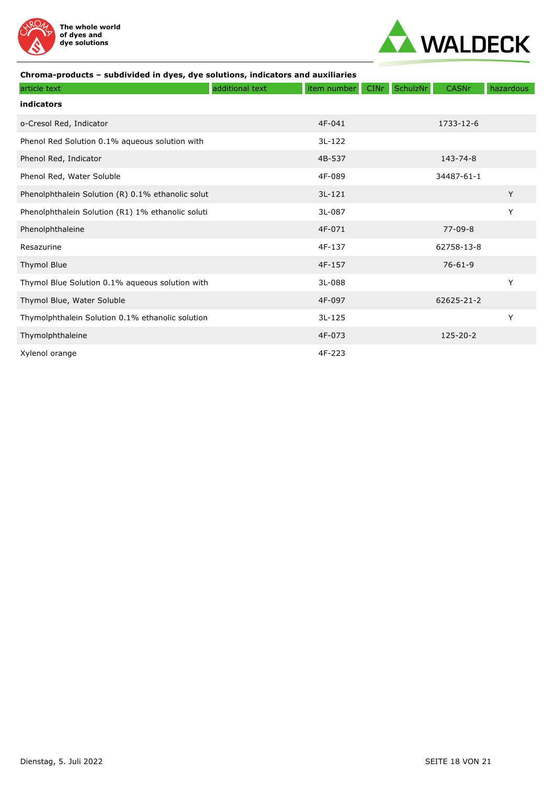



| article text                                      | additional text | item number | <b>CINr</b> | SchulzNr | <b>CASNr</b>  | hazardous |
|---------------------------------------------------|-----------------|-------------|-------------|----------|---------------|-----------|
| indicators                                        |                 |             |             |          |               |           |
| o-Cresol Red, Indicator                           |                 | 4F-041      |             |          | 1733-12-6     |           |
| Phenol Red Solution 0.1% aqueous solution with    |                 | $3L-122$    |             |          |               |           |
| Phenol Red, Indicator                             |                 | 4B-537      |             |          | 143-74-8      |           |
| Phenol Red, Water Soluble                         |                 | 4F-089      |             |          | 34487-61-1    |           |
| Phenolphthalein Solution (R) 0.1% ethanolic solut |                 | $3L-121$    |             |          |               | Y         |
| Phenolphthalein Solution (R1) 1% ethanolic soluti |                 | 3L-087      |             |          |               | Y         |
| Phenolphthaleine                                  |                 | 4F-071      |             |          | $77 - 09 - 8$ |           |
| Resazurine                                        |                 | 4F-137      |             |          | 62758-13-8    |           |
| <b>Thymol Blue</b>                                |                 | 4F-157      |             |          | $76 - 61 - 9$ |           |
| Thymol Blue Solution 0.1% aqueous solution with   |                 | 3L-088      |             |          |               | Y         |
| Thymol Blue, Water Soluble                        |                 | 4F-097      |             |          | 62625-21-2    |           |
| Thymolphthalein Solution 0.1% ethanolic solution  |                 | $3L-125$    |             |          |               | Y         |
| Thymolphthaleine                                  |                 | 4F-073      |             |          | 125-20-2      |           |
| Xylenol orange                                    |                 | 4F-223      |             |          |               |           |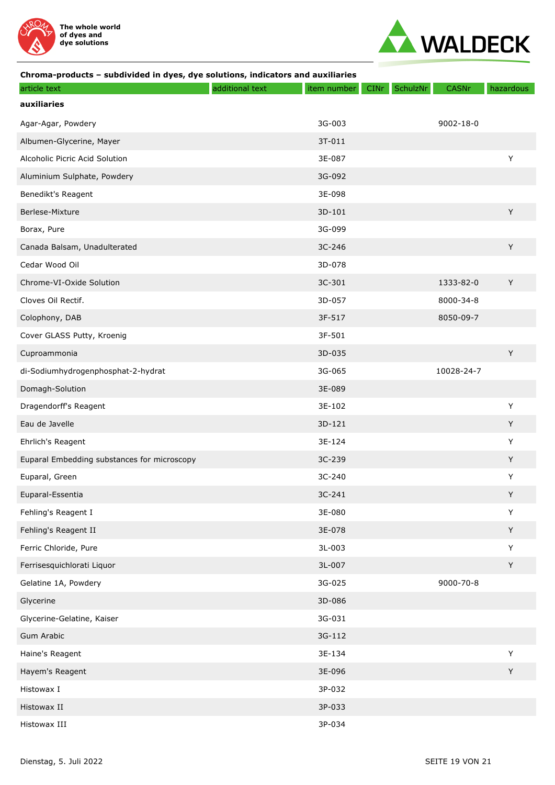



| article text                                | additional text | item number | <b>CINr</b> | SchulzNr | <b>CASNr</b>    | hazardous |
|---------------------------------------------|-----------------|-------------|-------------|----------|-----------------|-----------|
| auxiliaries                                 |                 |             |             |          |                 |           |
| Agar-Agar, Powdery                          |                 | 3G-003      |             |          | $9002 - 18 - 0$ |           |
| Albumen-Glycerine, Mayer                    |                 | 3T-011      |             |          |                 |           |
| Alcoholic Picric Acid Solution              |                 | 3E-087      |             |          |                 | Y         |
| Aluminium Sulphate, Powdery                 |                 | 3G-092      |             |          |                 |           |
| Benedikt's Reagent                          |                 | 3E-098      |             |          |                 |           |
| Berlese-Mixture                             |                 | 3D-101      |             |          |                 | Y         |
| Borax, Pure                                 |                 | 3G-099      |             |          |                 |           |
| Canada Balsam, Unadulterated                |                 | 3C-246      |             |          |                 | Y         |
| Cedar Wood Oil                              |                 | 3D-078      |             |          |                 |           |
| Chrome-VI-Oxide Solution                    |                 | 3C-301      |             |          | 1333-82-0       | Y         |
| Cloves Oil Rectif.                          |                 | 3D-057      |             |          | 8000-34-8       |           |
| Colophony, DAB                              |                 | 3F-517      |             |          | 8050-09-7       |           |
| Cover GLASS Putty, Kroenig                  |                 | 3F-501      |             |          |                 |           |
| Cuproammonia                                |                 | 3D-035      |             |          |                 | Y         |
| di-Sodiumhydrogenphosphat-2-hydrat          |                 | 3G-065      |             |          | 10028-24-7      |           |
| Domagh-Solution                             |                 | 3E-089      |             |          |                 |           |
| Dragendorff's Reagent                       |                 | 3E-102      |             |          |                 | Y         |
| Eau de Javelle                              |                 | 3D-121      |             |          |                 | Y         |
| Ehrlich's Reagent                           |                 | 3E-124      |             |          |                 | Υ         |
| Euparal Embedding substances for microscopy |                 | 3C-239      |             |          |                 | Y         |
| Euparal, Green                              |                 | 3C-240      |             |          |                 | Y         |
| Euparal-Essentia                            |                 | 3C-241      |             |          |                 | Y         |
| Fehling's Reagent I                         |                 | 3E-080      |             |          |                 | Y         |
| Fehling's Reagent II                        |                 | 3E-078      |             |          |                 | Y         |
| Ferric Chloride, Pure                       |                 | 3L-003      |             |          |                 | Y         |
| Ferrisesquichlorati Liquor                  |                 | 3L-007      |             |          |                 | Y         |
| Gelatine 1A, Powdery                        |                 | 3G-025      |             |          | 9000-70-8       |           |
| Glycerine                                   |                 | 3D-086      |             |          |                 |           |
| Glycerine-Gelatine, Kaiser                  |                 | 3G-031      |             |          |                 |           |
| Gum Arabic                                  |                 | 3G-112      |             |          |                 |           |
| Haine's Reagent                             |                 | 3E-134      |             |          |                 | Y         |
| Hayem's Reagent                             |                 | 3E-096      |             |          |                 | Y         |
| Histowax I                                  |                 | 3P-032      |             |          |                 |           |
| Histowax II                                 |                 | 3P-033      |             |          |                 |           |
| Histowax III                                |                 | 3P-034      |             |          |                 |           |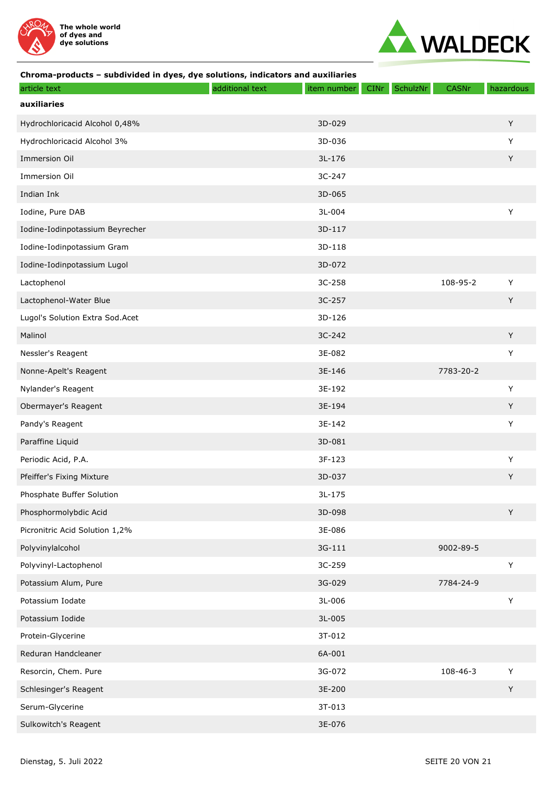



| article text                    | additional text | item number | CINr | SchulzNr | <b>CASNr</b> | hazardous   |
|---------------------------------|-----------------|-------------|------|----------|--------------|-------------|
| auxiliaries                     |                 |             |      |          |              |             |
| Hydrochloricacid Alcohol 0,48%  |                 | 3D-029      |      |          |              | Y           |
| Hydrochloricacid Alcohol 3%     |                 | 3D-036      |      |          |              | Y           |
| Immersion Oil                   |                 | 3L-176      |      |          |              | Y           |
| Immersion Oil                   |                 | 3C-247      |      |          |              |             |
| Indian Ink                      |                 | 3D-065      |      |          |              |             |
| Iodine, Pure DAB                |                 | 3L-004      |      |          |              | Υ           |
| Iodine-Iodinpotassium Beyrecher |                 | 3D-117      |      |          |              |             |
| Iodine-Iodinpotassium Gram      |                 | $3D-118$    |      |          |              |             |
| Iodine-Iodinpotassium Lugol     |                 | 3D-072      |      |          |              |             |
| Lactophenol                     |                 | 3C-258      |      |          | 108-95-2     | Y           |
| Lactophenol-Water Blue          |                 | 3C-257      |      |          |              | Y           |
| Lugol's Solution Extra Sod.Acet |                 | 3D-126      |      |          |              |             |
| Malinol                         |                 | 3C-242      |      |          |              | Y           |
| Nessler's Reagent               |                 | 3E-082      |      |          |              | $\mathsf Y$ |
| Nonne-Apelt's Reagent           |                 | 3E-146      |      |          | 7783-20-2    |             |
| Nylander's Reagent              |                 | 3E-192      |      |          |              | Y           |
| Obermayer's Reagent             |                 | 3E-194      |      |          |              | Y           |
| Pandy's Reagent                 |                 | 3E-142      |      |          |              | Υ           |
| Paraffine Liquid                |                 | 3D-081      |      |          |              |             |
| Periodic Acid, P.A.             |                 | 3F-123      |      |          |              | Y           |
| Pfeiffer's Fixing Mixture       |                 | 3D-037      |      |          |              | Y           |
| Phosphate Buffer Solution       |                 | 3L-175      |      |          |              |             |
| Phosphormolybdic Acid           |                 | 3D-098      |      |          |              | Y           |
| Picronitric Acid Solution 1,2%  |                 | 3E-086      |      |          |              |             |
| Polyvinylalcohol                |                 | 3G-111      |      |          | 9002-89-5    |             |
| Polyvinyl-Lactophenol           |                 | 3C-259      |      |          |              | Y           |
| Potassium Alum, Pure            |                 | 3G-029      |      |          | 7784-24-9    |             |
| Potassium Iodate                |                 | 3L-006      |      |          |              | $\mathsf Y$ |
| Potassium Iodide                |                 | 3L-005      |      |          |              |             |
| Protein-Glycerine               |                 | 3T-012      |      |          |              |             |
| Reduran Handcleaner             |                 | 6A-001      |      |          |              |             |
| Resorcin, Chem. Pure            |                 | 3G-072      |      |          | 108-46-3     | Y           |
| Schlesinger's Reagent           |                 | 3E-200      |      |          |              | Y           |
| Serum-Glycerine                 |                 | 3T-013      |      |          |              |             |
| Sulkowitch's Reagent            |                 | 3E-076      |      |          |              |             |